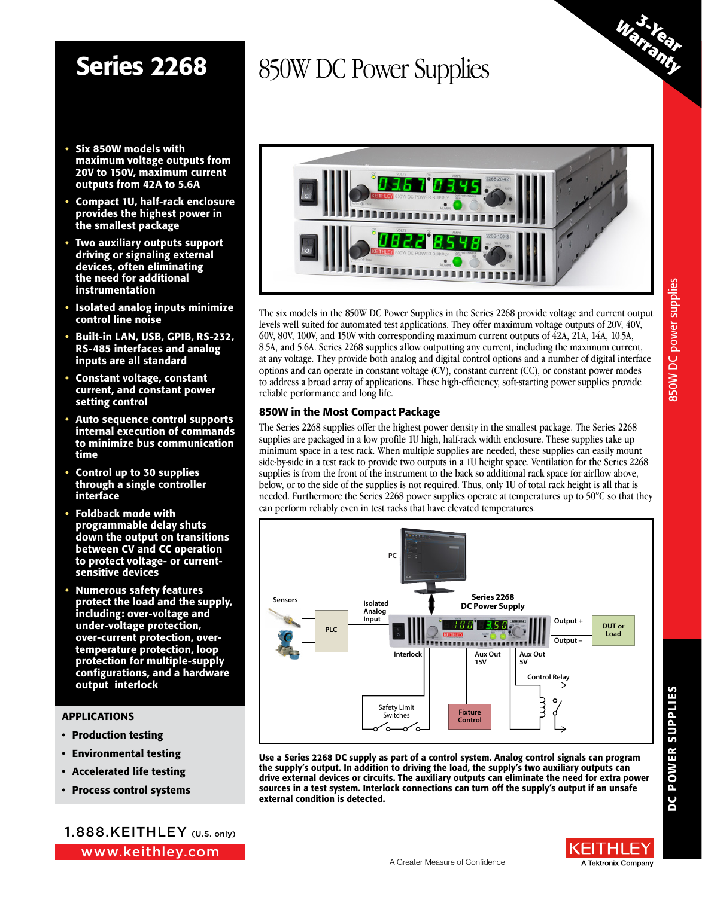- Six 850W models with maximum voltage outputs from 20V to 150V, maximum current outputs from 42A to 5.6A
- Compact 1U, half-rack enclosure provides the highest power in the smallest package
- Two auxiliary outputs support driving or signaling external devices, often eliminating the need for additional instrumentation
- Isolated analog inputs minimize control line noise
- Built-in LAN, USB, GPIB, RS-232, RS-485 interfaces and analog inputs are all standard
- Constant voltage, constant current, and constant power setting control
- Auto sequence control supports internal execution of commands to minimize bus communication time
- Control up to 30 supplies through a single controller interface
- Foldback mode with programmable delay shuts down the output on transitions between CV and CC operation to protect voltage- or currentsensitive devices
- Numerous safety features protect the load and the supply, including: over-voltage and under-voltage protection, over-current protection, overtemperature protection, loop protection for multiple-supply configurations, and a hardware output interlock

#### APPLICATIONS

- Production testing
- Environmental testing
- Accelerated life testing
- Process control systems

www.keithley.com 1.888.KEITHLEY (U.S. only)



The six models in the 850W DC Power Supplies in the Series 2268 provide voltage and current output levels well suited for automated test applications. They offer maximum voltage outputs of 20V, 40V, 60V, 80V, 100V, and 150V with corresponding maximum current outputs of 42A, 21A, 14A, 10.5A, 8.5A, and 5.6A. Series 2268 supplies allow outputting any current, including the maximum current, at any voltage. They provide both analog and digital control options and a number of digital interface options and can operate in constant voltage (CV), constant current (CC), or constant power modes to address a broad array of applications. These high-efficiency, soft-starting power supplies provide reliable performance and long life.

#### 850W in the Most Compact Package

The Series 2268 supplies offer the highest power density in the smallest package. The Series 2268 supplies are packaged in a low profile 1U high, half-rack width enclosure. These supplies take up minimum space in a test rack. When multiple supplies are needed, these supplies can easily mount side-by-side in a test rack to provide two outputs in a 1U height space. Ventilation for the Series 2268 supplies is from the front of the instrument to the back so additional rack space for airflow above, below, or to the side of the supplies is not required. Thus, only 1U of total rack height is all that is needed. Furthermore the Series 2268 power supplies operate at temperatures up to 50°C so that they can perform reliably even in test racks that have elevated temperatures.



Use a Series 2268 DC supply as part of a control system. Analog control signals can program the supply's output. In addition to driving the load, the supply's two auxiliary outputs can drive external devices or circuits. The auxiliary outputs can eliminate the need for extra power sources in a test system. Interlock connections can turn off the supply's output if an unsafe external condition is detected.

350W DC power supplies 850W DC power supplies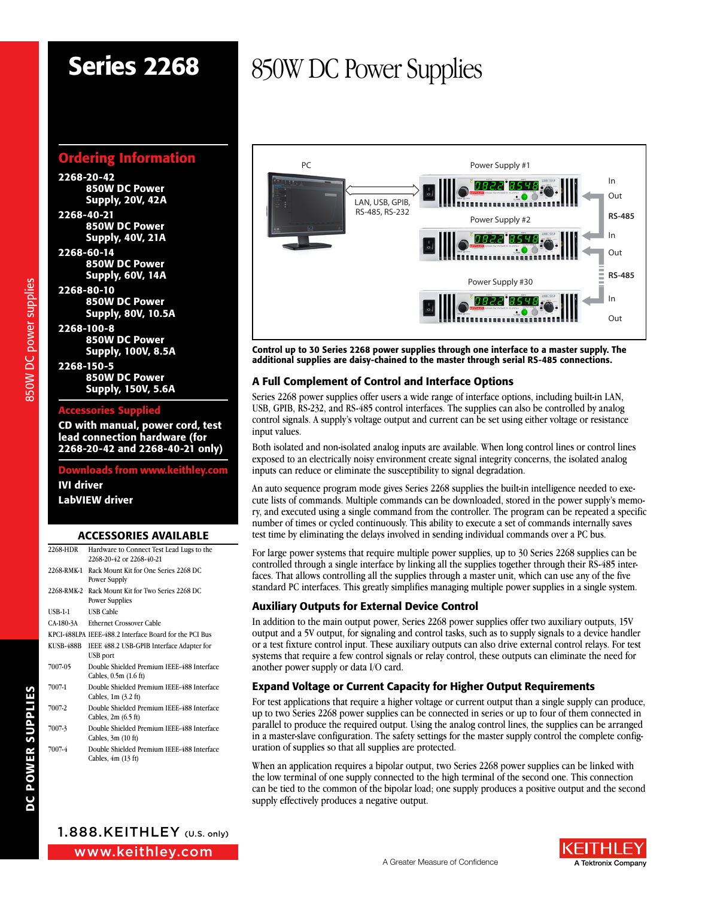## Ordering Information

2268-20-42 850W DC Power Supply, 20V, 42A 2268-40-21 850W DC Power Supply, 40V, 21A 2268-60-14 850W DC Power Supply, 60V, 14A 2268-80-10 850W DC Power Supply, 80V, 10.5A 2268-100-8 850W DC Power Supply, 100V, 8.5A 2268-150-5

850W DC Power Supply, 150V, 5.6A

#### Accessories Supplied

CD with manual, power cord, test lead connection hardware (for 2268-20-42 and 2268-40-21 only)

### vnloads from www.keithley.con IVI driver LabVIEW driver

#### ACCESSORIES AVAILABLE

| 2268-HDR   | Hardware to Connect Test Lead Lugs to the<br>2268-20-42 or 2268-40-21     |
|------------|---------------------------------------------------------------------------|
| 2268-RMK-1 | Rack Mount Kit for One Series 2268 DC<br>Power Supply                     |
| 2268-RMK-2 | Rack Mount Kit for Two Series 2268 DC<br>Power Supplies                   |
| USB-1-1    | <b>USB Cable</b>                                                          |
| CA-180-3A  | <b>Ethernet Crossover Cable</b>                                           |
|            | KPCI-488LPA IEEE-488.2 Interface Board for the PCI Bus                    |
| KUSB-488B  | IEEE 488.2 USB-GPIB Interface Adapter for<br>USB port                     |
| 7007-05    | Double Shielded Premium IEEE-488 Interface<br>Cables, 0.5m (1.6 ft)       |
| 7007-1     | Double Shielded Premium IEEE-488 Interface<br>Cables, $1m$ $(3.2 ft)$     |
| 7007-2     | Double Shielded Premium IEEE-488 Interface<br>Cables, $2m(6.5 ft)$        |
| 7007-3     | Double Shielded Premium IEEE-488 Interface<br>Cables, $3m(10 \text{ ft})$ |
| 7007-4     | Double Shielded Premium IEEE-488 Interface<br>Cables, $4m(13 ft)$         |

# Series 2268 850W DC Power Supplies



Control up to 30 Series 2268 power supplies through one interface to a master supply. The additional supplies are daisy-chained to the master through serial RS-485 connections.

### A Full Complement of Control and Interface Options

Series 2268 power supplies offer users a wide range of interface options, including built-in LAN, USB, GPIB, RS-232, and RS-485 control interfaces. The supplies can also be controlled by analog control signals. A supply's voltage output and current can be set using either voltage or resistance input values.

Both isolated and non-isolated analog inputs are available. When long control lines or control lines exposed to an electrically noisy environment create signal integrity concerns, the isolated analog inputs can reduce or eliminate the susceptibility to signal degradation.

An auto sequence program mode gives Series 2268 supplies the built-in intelligence needed to execute lists of commands. Multiple commands can be downloaded, stored in the power supply's memory, and executed using a single command from the controller. The program can be repeated a specific number of times or cycled continuously. This ability to execute a set of commands internally saves test time by eliminating the delays involved in sending individual commands over a PC bus.

For large power systems that require multiple power supplies, up to 30 Series 2268 supplies can be controlled through a single interface by linking all the supplies together through their RS-485 interfaces. That allows controlling all the supplies through a master unit, which can use any of the five standard PC interfaces. This greatly simplifies managing multiple power supplies in a single system.

### Auxiliary Outputs for External Device Control

In addition to the main output power, Series 2268 power supplies offer two auxiliary outputs, 15V output and a 5V output, for signaling and control tasks, such as to supply signals to a device handler or a test fixture control input. These auxiliary outputs can also drive external control relays. For test systems that require a few control signals or relay control, these outputs can eliminate the need for another power supply or data I/O card.

### Expand Voltage or Current Capacity for Higher Output Requirements

For test applications that require a higher voltage or current output than a single supply can produce, up to two Series 2268 power supplies can be connected in series or up to four of them connected in parallel to produce the required output. Using the analog control lines, the supplies can be arranged in a master-slave configuration. The safety settings for the master supply control the complete configuration of supplies so that all supplies are protected.

When an application requires a bipolar output, two Series 2268 power supplies can be linked with the low terminal of one supply connected to the high terminal of the second one. This connection can be tied to the common of the bipolar load; one supply produces a positive output and the second supply effectively produces a negative output.



850W DC power supplies

350W DC power supplies

www.keithley.com 1.888.KEITHLEY (U.S. only)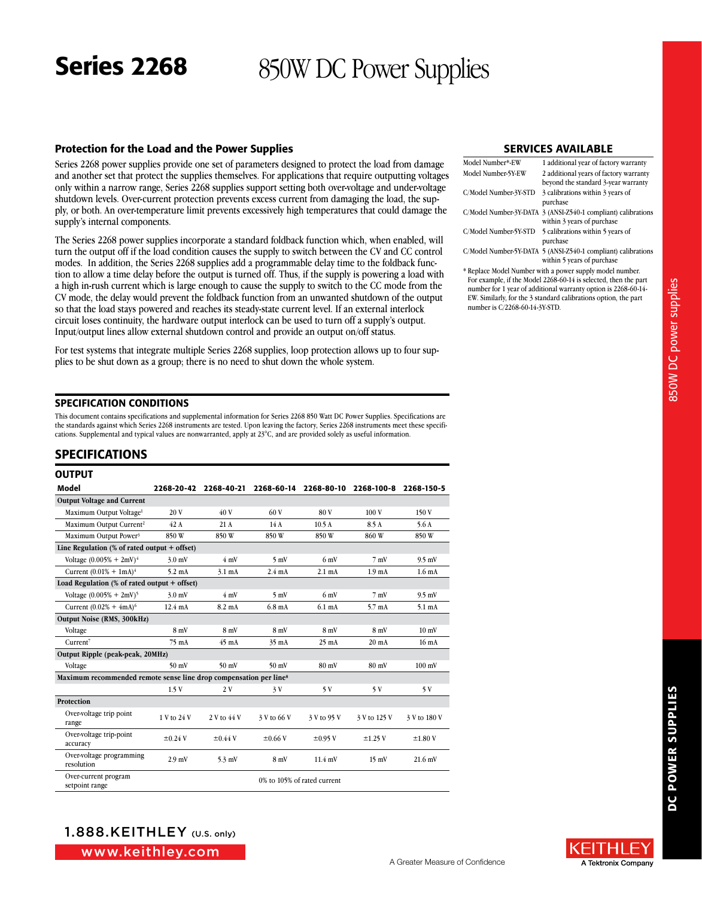#### Protection for the Load and the Power Supplies

Series 2268 power supplies provide one set of parameters designed to protect the load from damage and another set that protect the supplies themselves. For applications that require outputting voltages only within a narrow range, Series 2268 supplies support setting both over-voltage and under-voltage shutdown levels. Over-current protection prevents excess current from damaging the load, the supply, or both. An over-temperature limit prevents excessively high temperatures that could damage the supply's internal components.

The Series 2268 power supplies incorporate a standard foldback function which, when enabled, will turn the output off if the load condition causes the supply to switch between the CV and CC control modes. In addition, the Series 2268 supplies add a programmable delay time to the foldback function to allow a time delay before the output is turned off. Thus, if the supply is powering a load with a high in-rush current which is large enough to cause the supply to switch to the CC mode from the CV mode, the delay would prevent the foldback function from an unwanted shutdown of the output so that the load stays powered and reaches its steady-state current level. If an external interlock circuit loses continuity, the hardware output interlock can be used to turn off a supply's output. Input/output lines allow external shutdown control and provide an output on/off status.

For test systems that integrate multiple Series 2268 supplies, loop protection allows up to four supplies to be shut down as a group; there is no need to shut down the whole system.

#### SPECIFICATION CONDITIONS

This document contains specifications and supplemental information for Series 2268 850 Watt DC Power Supplies. Specifications are the standards against which Series 2268 instruments are tested. Upon leaving the factory, Series 2268 instruments meet these specifications. Supplemental and typical values are nonwarranted, apply at 23°C, and are provided solely as useful information.

#### SPECIFICATIONS

#### **OUTPUT**

| Model                                                                         | 2268-20-42        | 2268-40-21       | 2268-60-14       |                             | 2268-80-10 2268-100-8 | 2268-150-5        |
|-------------------------------------------------------------------------------|-------------------|------------------|------------------|-----------------------------|-----------------------|-------------------|
| <b>Output Voltage and Current</b>                                             |                   |                  |                  |                             |                       |                   |
| Maximum Output Voltage <sup>1</sup>                                           | 20V               | 40 V             | 60 V             | 80 V                        | 100V                  | 150 V             |
| Maximum Output Current <sup>2</sup>                                           | 42 A              | 21A              | 14 A             | 10.5A                       | 8.5 A                 | 5.6A              |
| Maximum Output Power <sup>3</sup>                                             | 850W              | 850W             | 850W             | 850W                        | 860W                  | 850W              |
| Line Regulation $%$ of rated output + offset)                                 |                   |                  |                  |                             |                       |                   |
| Voltage $(0.005\% + 2mV)^4$                                                   | $3.0$ mV          | $4 \text{ mV}$   | $5 \text{ mV}$   | $6 \text{ mV}$              | 7 mV                  | $9.5$ mV          |
| Current $(0.01\% + 1mA)^4$                                                    | $5.2 \text{ mA}$  | $3.1 \text{ mA}$ | $2.4 \text{ mA}$ | 2.1 <sub>mA</sub>           | 1.9 <sub>mA</sub>     | 1.6 <sub>mA</sub> |
| Load Regulation $%$ of rated output + offset)                                 |                   |                  |                  |                             |                       |                   |
| Voltage $(0.005\% + 2mV)^5$                                                   | $3.0$ mV          | $4 \text{ mV}$   | 5mV              | 6mV                         | $7 \text{ mV}$        | $9.5$ mV          |
| Current $(0.02% + 4mA)^6$                                                     | $12.4 \text{ mA}$ | $8.2 \text{ mA}$ | $6.8 \text{ mA}$ | $6.1 \text{ mA}$            | $5.7 \text{ mA}$      | $5.1 \text{ mA}$  |
| Output Noise (RMS, 300kHz)                                                    |                   |                  |                  |                             |                       |                   |
| Voltage                                                                       | 8mV               | 8mV              | 8mV              | 8mV                         | 8mV                   | $10 \text{ mV}$   |
| Current <sup>7</sup>                                                          | 75 mA             | $45 \text{ mA}$  | 35 mA            | $25 \text{ mA}$             | $20 \text{ mA}$       | 16 <sub>mA</sub>  |
| Output Ripple (peak-peak, 20MHz)                                              |                   |                  |                  |                             |                       |                   |
| Voltage                                                                       | $50 \text{ mV}$   | $50 \text{ mV}$  | $50 \text{ mV}$  | $80 \text{ mV}$             | 80 mV                 | $100 \text{ mV}$  |
| Maximum recommended remote sense line drop compensation per line <sup>8</sup> |                   |                  |                  |                             |                       |                   |
|                                                                               | 1.5V              | 2V               | 3 V              | 5 V                         | 5V                    | 5V                |
| Protection                                                                    |                   |                  |                  |                             |                       |                   |
| Over-voltage trip point<br>range                                              | 1 V to 24 V       | 2 V to 44 V      | 3 V to 66 V      | 3 V to 95 V                 | 3 V to 125 V          | 3 V to 180 V      |
| Over-voltage trip-point<br>accuracy                                           | $\pm 0.24$ V      | $\pm 0.44$ V     | $\pm 0.66$ V     | $\pm 0.95$ V                | $\pm$ 1.25 V          | $\pm 1.80$ V      |
| Over-voltage programming<br>resolution                                        | $2.9$ mV          | $5.3$ mV         | 8mV              | $11.4$ mV                   | $15 \text{ mV}$       | $21.6$ mV         |
| Over-current program<br>setpoint range                                        |                   |                  |                  | 0% to 105% of rated current |                       |                   |

#### SERVICES AVAILABLE

| Model Number*-EW      | 1 additional year of factory warranty                                                       |
|-----------------------|---------------------------------------------------------------------------------------------|
| Model Number-5Y-EW    | 2 additional years of factory warranty                                                      |
|                       | beyond the standard 3-year warranty                                                         |
| C/Model Number-3Y-STD | 3 calibrations within 3 years of<br>purchase                                                |
|                       | C/Model Number-3Y-DATA 3 (ANSI-Z540-1 compliant) calibrations<br>within 3 years of purchase |
| C/Model Number-5Y-STD | 5 calibrations within 5 years of<br>purchase                                                |
|                       | C/Model Number-5Y-DATA 5 (ANSI-Z540-1 compliant) calibrations<br>within 5 years of purchase |

\* Replace Model Number with a power supply model number. For example, if the Model 2268-60-14 is selected, then the part number for 1 year of additional warranty option is 2268-60-14- EW. Similarly, for the 3 standard calibrations option, the part number is C/2268-60-14-3Y-STD.



www.keithley.com

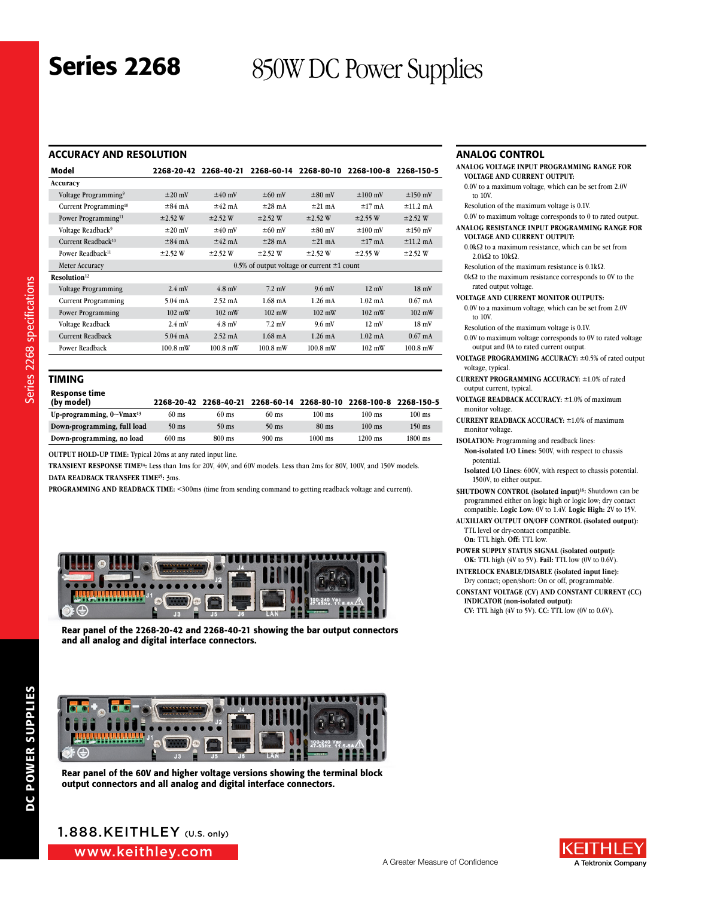### ACCURACY AND RESOLUTION

| Model                             | 2268-20-42                                      | 2268-40-21        | 2268-60-14        | 2268-80-10        | 2268-100-8        | 2268-150-5        |
|-----------------------------------|-------------------------------------------------|-------------------|-------------------|-------------------|-------------------|-------------------|
| Accuracy                          |                                                 |                   |                   |                   |                   |                   |
| Voltage Programming <sup>9</sup>  | $\pm 20$ mV                                     | $±40$ mV          | $\pm 60$ mV       | $\pm 80$ mV       | $\pm 100$ mV      | $\pm 150$ mV      |
| Current Programming <sup>10</sup> | $\pm 84$ mA                                     | $±42$ mA          | $\pm 28$ mA       | $±21$ mA          | $±17$ mA          | $±11.2$ mA        |
| Power Programming <sup>11</sup>   | $\pm 2.52$ W                                    | $\pm 2.52$ W      | $\pm 2.52$ W      | $\pm 2.52$ W      | $\pm$ 2.55 W      | $\pm 2.52$ W      |
| Voltage Readback <sup>9</sup>     | $\pm 20$ mV                                     | $±40$ mV          | $\pm 60$ mV       | $\pm 80$ mV       | $±100$ mV         | $±150$ mV         |
| Current Readback <sup>10</sup>    | $\pm 84$ mA                                     | $\pm 42$ mA       | $\pm 28$ mA       | $\pm 21$ mA       | $\pm 17$ mA       | $\pm 11.2$ mA     |
| Power Readback <sup>11</sup>      | $\pm 2.52$ W                                    | $\pm 2.52$ W      | $\pm 2.52$ W      | $\pm 2.52$ W      | $\pm 2.55$ W      | $\pm 2.52$ W      |
| Meter Accuracy                    | 0.5% of output voltage or current $\pm 1$ count |                   |                   |                   |                   |                   |
| Resolution <sup>12</sup>          |                                                 |                   |                   |                   |                   |                   |
| Voltage Programming               | $2.4$ mV                                        | $4.8$ mV          | $7.2$ mV          | $9.6$ mV          | $12 \text{ mV}$   | $18 \text{ mV}$   |
| <b>Current Programming</b>        | $5.04 \text{ mA}$                               | $2.52 \text{ mA}$ | $1.68$ mA         | $1.26 \text{ mA}$ | $1.02 \text{ mA}$ | $0.67 \text{ mA}$ |
| Power Programming                 | $102 \text{ mW}$                                | $102 \text{ mW}$  | $102 \text{ mW}$  | $102 \text{ mW}$  | $102 \text{ mW}$  | $102 \text{ mW}$  |
| Voltage Readback                  | $2.4 \text{ mV}$                                | $4.8$ mV          | $7.2$ mV          | $9.6$ mV          | $12 \text{ mV}$   | $18 \text{ mV}$   |
| <b>Current Readback</b>           | $5.04 \text{ mA}$                               | $2.52 \text{ mA}$ | $1.68 \text{ mA}$ | $1.26 \text{ mA}$ | $1.02 \text{ mA}$ | $0.67 \text{ mA}$ |
| Power Readback                    | $100.8$ mW                                      | $100.8$ mW        | $100.8$ mW        | $100.8$ mW        | $102 \text{ mW}$  | $100.8$ mW        |
|                                   |                                                 |                   |                   |                   |                   |                   |

#### TIMING

| Response time<br>(by model)                  | 2268-20-42       | 2268-40-21      |                 | 2268-60-14 2268-80-10 | 2268-100-8       | 2268-150-5 |
|----------------------------------------------|------------------|-----------------|-----------------|-----------------------|------------------|------------|
| Up-programming, $0 \sim V$ max <sup>13</sup> | $60 \text{ ms}$  | $60 \text{ ms}$ | $60 \text{ ms}$ | $100 \text{ ms}$      | $100$ ms         | $100$ ms   |
| Down-programming, full load                  | $50$ ms          | $50$ ms         | $50$ ms         | $80 \text{ ms}$       | $100 \text{ ms}$ | $150$ ms   |
| Down-programming, no load                    | $600 \text{ ms}$ | 800 ms          | $900$ ms        | $1000$ ms             | $1200$ ms        | $1800$ ms  |

**OUTPUT HOLD-UP TIME:** Typical 20ms at any rated input line.

**TRANSIENT RESPONSE TIME14:** Less than 1ms for 20V, 40V, and 60V models. Less than 2ms for 80V, 100V, and 150V models. **DATA READBACK TRANSFER TIME15:** 3ms.

**PROGRAMMING AND READBACK TIME:** <300ms (time from sending command to getting readback voltage and current).



Rear panel of the 2268-20-42 and 2268-40-21 showing the bar output connectors and all analog and digital interface connectors.



Rear panel of the 60V and higher voltage versions showing the terminal block output connectors and all analog and digital interface connectors.

#### ANALOG CONTROL

| ANALOG VOLTAGE INPUT PROGRAMMING RANGE FOR<br><b>VOLTAGE AND CURRENT OUTPUT:</b> |
|----------------------------------------------------------------------------------|
| 0.0V to a maximum voltage, which can be set from 2.0V                            |
| to 10V.                                                                          |
| Resolution of the maximum voltage is 0.1V.                                       |
| 0.0V to maximum voltage corresponds to 0 to rated output.                        |
| ANALOG RESISTANCE INPUT PROGRAMMING RANGE FOR                                    |
| <b>VOLTAGE AND CURRENT OUTPUT:</b>                                               |
|                                                                                  |

- 0.0kΩ to a maximum resistance, which can be set from 2.0kΩ to 10kΩ.
- Resolution of the maximum resistance is 0.1kΩ.
- $0\mathrm{k}\Omega$  to the maximum resistance corresponds to  $0\mathrm{V}$  to the rated output voltage.
- **VOLTAGE AND CURRENT MONITOR OUTPUTS:**
- 0.0V to a maximum voltage, which can be set from 2.0V to 10V.
- Resolution of the maximum voltage is 0.1V.
- 0.0V to maximum voltage corresponds to 0V to rated voltage output and 0A to rated current output.
- **VOLTAGE PROGRAMMING ACCURACY:** ±0.5% of rated output voltage, typical.
- **CURRENT PROGRAMMING ACCURACY:** ±1.0% of rated output current, typical.
- **VOLTAGE READBACK ACCURACY:** ±1.0% of maximum monitor voltage.
- **CURRENT READBACK ACCURACY:** ±1.0% of maximum monitor voltage.
- **ISOLATION:** Programming and readback lines: **Non-isolated I/O Lines:** 500V, with respect to chassis potential.
- **Isolated I/O Lines:** 600V, with respect to chassis potential. 1500V, to either output.
- **SHUTDOWN CONTROL (isolated input) 16:** Shutdown can be programmed either on logic high or logic low; dry contact compatible. **Logic Low:** 0V to 1.4V. **Logic High:** 2V to 15V.
- **AUXILIARY OUTPUT ON/OFF CONTROL (isolated output):** TTL level or dry-contact compatible. **On:** TTL high. **Off:** TTL low.
- **POWER SUPPLY STATUS SIGNAL (isolated output):**
- **OK:** TTL high (4V to 5V). **Fail:** TTL low (0V to 0.6V).
- **INTERLOCK ENABLE/DISABLE (isolated input line):** Dry contact; open/short: On or off, programmable.
- **CONSTANT VOLTAGE (CV) AND CONSTANT CURRENT (CC) INDICATOR (non-isolated output): CV:** TTL high (4V to 5V). **CC:** TTL low (0V to 0.6V).

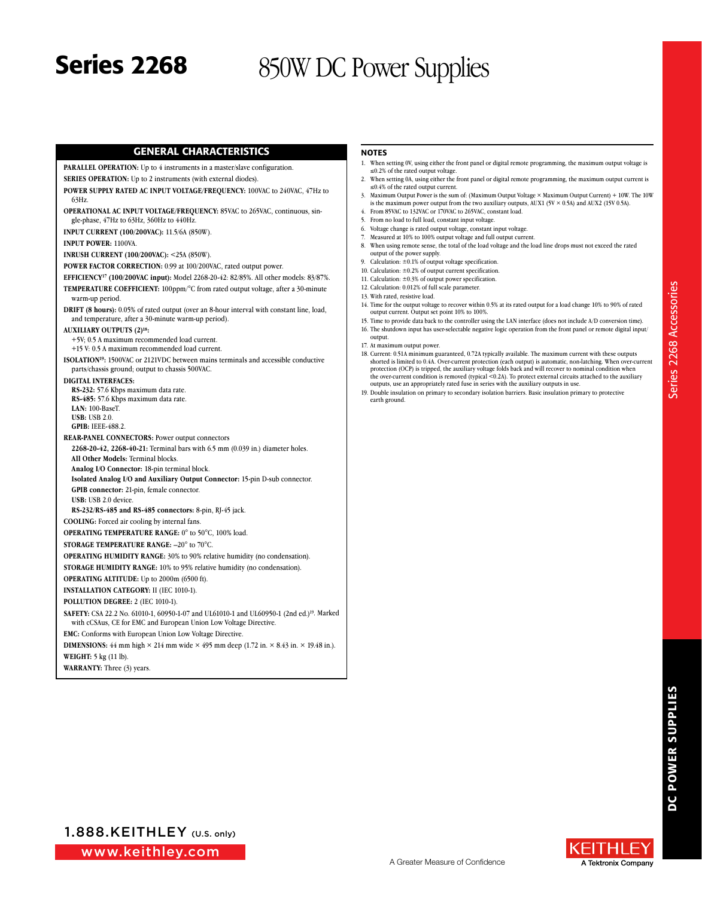#### GENERAL CHARACTERISTICS

#### PARALLEL OPERATION: Up to 4 instruments in a master/slave configuration.

**SERIES OPERATION:** Up to 2 instruments (with external diodes).

- **POWER SUPPLY RATED AC INPUT VOLTAGE/FREQUENCY:** 100VAC to 240VAC, 47Hz to 63Hz.
- **OPERATIONAL AC INPUT VOLTAGE/FREQUENCY:** 85VAC to 265VAC, continuous, single-phase, 47Hz to 63Hz, 360Hz to 440Hz.

**INPUT CURRENT (100/200VAC):** 11.5/6A (850W).

**INPUT POWER:** 1100VA.

**INRUSH CURRENT (100/200VAC):** <25A (850W).

**POWER FACTOR CORRECTION:** 0.99 at 100/200VAC, rated output power.

- **EFFICIENCY17 (100/200VAC input):** Model 2268-20-42: 82/85%. All other models: 83/87%. **TEMPERATURE COEFFICIENT:** 100ppm/°C from rated output voltage, after a 30-minute
- warm-up period.

**DRIFT (8 hours):** 0.05% of rated output (over an 8-hour interval with constant line, load, and temperature, after a 30-minute warm-up period).

**AUXILIARY OUTPUTS (2)18:**

+5V; 0.5 A maximum recommended load current.

+15 V: 0.5 A maximum recommended load current.

**ISOLATION19:** 1500VAC or 2121VDC between mains terminals and accessible conductive parts/chassis ground; output to chassis 500VAC.

#### **DIGITAL INTERFACES:**

**RS-232:** 57.6 Kbps maximum data rate. **RS-485:** 57.6 Kbps maximum data rate. **LAN:** 100-BaseT. **USB:** USB 2.0. **GPIB:** IEEE-488.2.

**REAR-PANEL CONNECTORS:** Power output connectors

**2268-20-42, 2268-40-21:** Terminal bars with 6.5 mm (0.039 in.) diameter holes. **All Other Models:** Terminal blocks.

**Analog I/O Connector:** 18-pin terminal block.

**Isolated Analog I/O and Auxiliary Output Connector:** 15-pin D-sub connector. **GPIB connector:** 21-pin, female connector.

**USB:** USB 2.0 device.

**RS-232/RS-485 and RS‑485 connectors:** 8-pin, RJ-45 jack.

**COOLING:** Forced air cooling by internal fans.

**OPERATING TEMPERATURE RANGE:** 0° to 50°C, 100% load.

**STORAGE TEMPERATURE RANGE:** –20° to 70°C.

**OPERATING HUMIDITY RANGE:** 30% to 90% relative humidity (no condensation).

**STORAGE HUMIDITY RANGE:** 10% to 95% relative humidity (no condensation).

**OPERATING ALTITUDE:** Up to 2000m (6500 ft).

**INSTALLATION CATEGORY:** II (IEC 1010-1).

**POLLUTION DEGREE:** 2 (IEC 1010-1).

**SAFETY:** CSA 22.2 No. 61010-1, 60950-1-07 and UL61010-1 and UL60950-1 (2nd ed.)19. Marked with cCSAus, CE for EMC and European Union Low Voltage Directive.

**EMC:** Conforms with European Union Low Voltage Directive.

**DIMENSIONS:** 44 mm high  $\times$  214 mm wide  $\times$  495 mm deep (1.72 in.  $\times$  8.43 in.  $\times$  19.48 in.).

**WEIGHT:** 5 kg (11 lb).

**WARRANTY:** Three (3) years.

#### **NOTES**

- 1. When setting 0V, using either the front panel or digital remote programming, the maximum output voltage is  $\leq 0.2\%$  of the rated output voltage.
- 2. When setting 0A, using either the front panel or digital remote programming, the maximum output current is ≤0.4% of the rated output current.
- 3. Maximum Output Power is the sum of: (Maximum Output Voltage × Maximum Output Current) + 10W. The 10W is the maximum power output from the two auxiliary outputs, AUX1 (5V  $\times$  0.5A) and AUX2 (15V 0.5A).
- 4. From 85VAC to 132VAC or 170VAC to 265VAC, constant load.
- 5. From no load to full load, constant input voltage.
- 6. Voltage change is rated output voltage, constant input voltage.
- Measured at 10% to 100% output voltage and full output current. 8. When using remote sense, the total of the load voltage and the load line drops must not exceed the rated output of the power supply.
- 9. Calculation: ±0.1% of output voltage specification.
- 10. Calculation: ±0.2% of output current specification.
- 11. Calculation: ±0.3% of output power specification.
- 12. Calculation: 0.012% of full scale parameter.
- 13. With rated, resistive load.
- 14. Time for the output voltage to recover within 0.5% at its rated output for a load change 10% to 90% of rated output current. Output set point 10% to 100%.
- 15. Time to provide data back to the controller using the LAN interface (does not include A/D conversion time). 16. The shutdown input has user-selectable negative logic operation from the front panel or remote digital input/
- output. 17. At maximum output power.
- 18. Current: 0.51A minimum guaranteed, 0.72A typically available. The maximum current with these outputs shorted is limited to 0.4A. Over-current protection (each output) is automatic, non-latching. When over-current protection (OCP) is tripped, the auxiliary voltage folds back and will recover to nominal condition when the over-current condition is removed (typical <0.2A). To protect external circuits attached to the auxiliary outputs, use an appropriately rated fuse in series with the auxiliary outputs in use.
- 19. Double insulation on primary to secondary isolation barriers. Basic insulation primary to protective earth ground.

www.keithley.com

1.888.KEITHLEY (U.S. only)